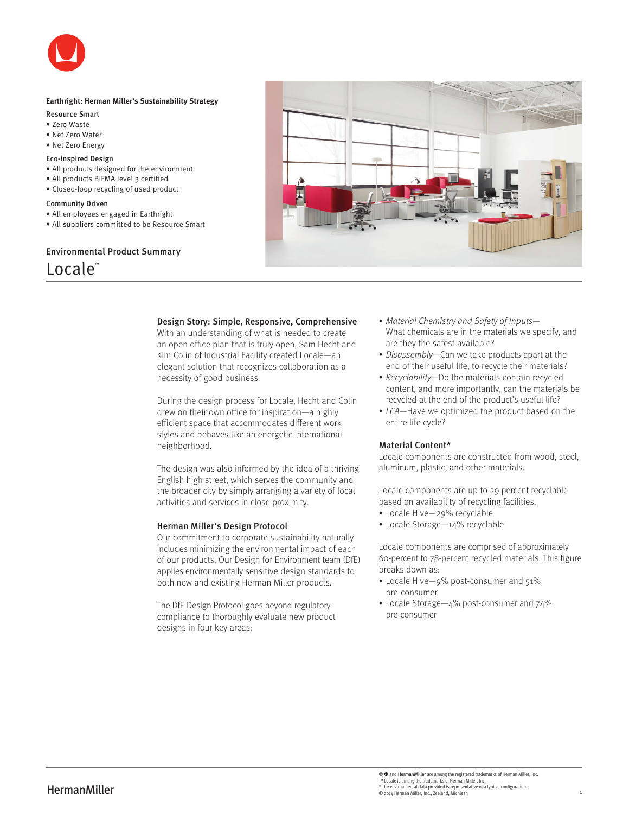

# **Earthright: Herman Miller's Sustainability Strategy**

- Resource Smart
- Zero Waste
- Net Zero Water
- Net Zero Energy

# Eco-inspired Design

- All products designed for the environment
- All products BIFMA level 3 certified
- Closed-loop recycling of used product

### Community Driven

- All employees engaged in Earthright
- All suppliers committed to be Resource Smart

Environmental Product Summary



# Design Story: Simple, Responsive, Comprehensive

With an understanding of what is needed to create an open office plan that is truly open, Sam Hecht and Kim Colin of Industrial Facility created Locale—an elegant solution that recognizes collaboration as a necessity of good business.

During the design process for Locale, Hecht and Colin drew on their own office for inspiration—a highly efficient space that accommodates different work styles and behaves like an energetic international neighborhood.

The design was also informed by the idea of a thriving English high street, which serves the community and the broader city by simply arranging a variety of local activities and services in close proximity.

## Herman Miller's Design Protocol

Our commitment to corporate sustainability naturally includes minimizing the environmental impact of each of our products. Our Design for Environment team (DfE) applies environmentally sensitive design standards to both new and existing Herman Miller products.

The DfE Design Protocol goes beyond regulatory compliance to thoroughly evaluate new product designs in four key areas:

- Material Chemistry and Safety of Inputs-What chemicals are in the materials we specify, and are they the safest available?
- Disassembly—Can we take products apart at the end of their useful life, to recycle their materials?
- Recyclability-Do the materials contain recycled content, and more importantly, can the materials be recycled at the end of the product's useful life?
- LCA—Have we optimized the product based on the entire life cycle?

# Material Content\*

Locale components are constructed from wood, steel, aluminum, plastic, and other materials.

Locale components are up to 29 percent recyclable based on availability of recycling facilities.

- Locale Hive—29% recyclable
- Locale Storage—14% recyclable

Locale components are comprised of approximately 60-percent to 78-percent recycled materials. This figure breaks down as:

- Locale Hive—9% post-consumer and 51% pre-consumer
- Locale Storage—4% post-consumer and 74% pre-consumer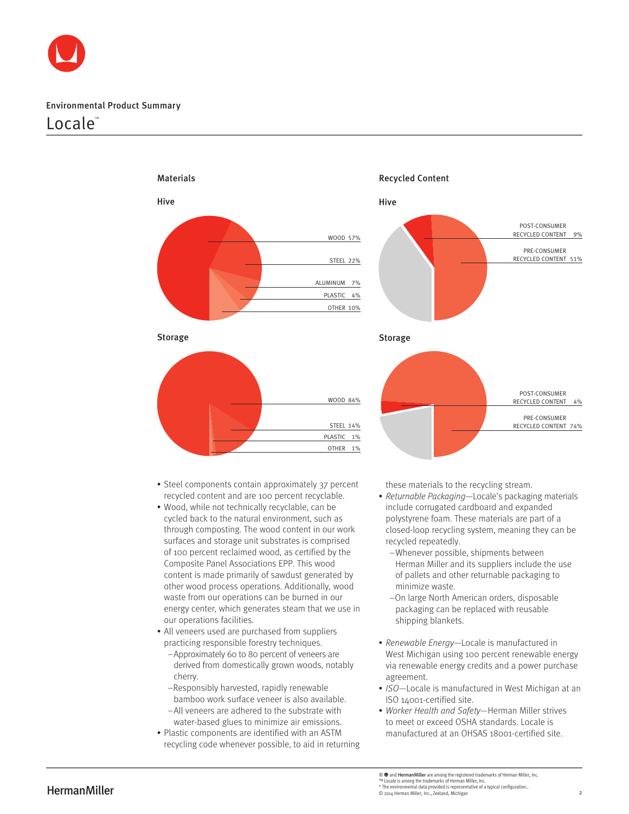

# Environmental Product Summary

# Locale™



Storage



- Steel components contain approximately 37 percent recycled content and are 100 percent recyclable.
- Wood, while not technically recyclable, can be cycled back to the natural environment, such as through composting. The wood content in our work surfaces and storage unit substrates is comprised of 100 percent reclaimed wood, as certified by the Composite Panel Associations EPP. This wood content is made primarily of sawdust generated by other wood process operations. Additionally, wood waste from our operations can be burned in our energy center, which generates steam that we use in our operations facilities.
- All veneers used are purchased from suppliers practicing responsible forestry techniques.
	- –Approximately 60 to 80 percent of veneers are derived from domestically grown woods, notably cherry.
	- –Responsibly harvested, rapidly renewable bamboo work surface veneer is also available.
	- –All veneers are adhered to the substrate with water-based glues to minimize air emissions.
- Plastic components are identified with an ASTM recycling code whenever possible, to aid in returning



these materials to the recycling stream.

- Returnable Packaging—Locale's packaging materials include corrugated cardboard and expanded polystyrene foam. These materials are part of a closed-loop recycling system, meaning they can be recycled repeatedly.
	- –Whenever possible, shipments between Herman Miller and its suppliers include the use of pallets and other returnable packaging to minimize waste.
	- –On large North American orders, disposable packaging can be replaced with reusable shipping blankets.
- Renewable Energy—Locale is manufactured in West Michigan using 100 percent renewable energy via renewable energy credits and a power purchase agreement.
- ISO—Locale is manufactured in West Michigan at an ISO 14001-certified site.
- Worker Health and Safety—Herman Miller strives to meet or exceed OSHA standards. Locale is manufactured at an OHSAS 18001-certified site.

 ${\bf Herm}^{\rm M}$  Locale is among the trademarks of Herman Miller, Inc.,<br> $\bullet$  The environmental data provided is representative of a typical configuration..<br>© 2014 Herman Miller, Inc., Zeeland, Michigan ® and Herman Miller are among the registered trademarks of Herman Miller, Inc.